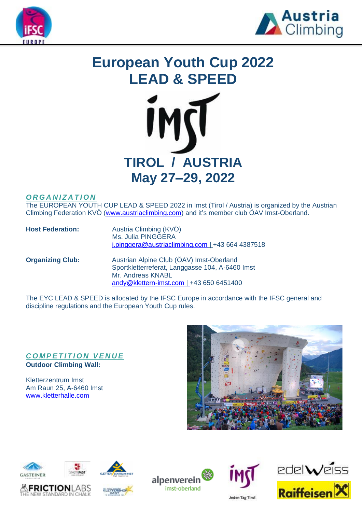



# **European Youth Cup 2022 LEAD & SPEED**



## *O R G A N I Z A T I O N*

The EUROPEAN YOUTH CUP LEAD & SPEED 2022 in Imst (Tirol / Austria) is organized by the Austrian Climbing Federation KVÖ [\(www.austriaclimbing.com\)](http://www.austriaclimbing.com/) and it's member club ÖAV Imst-Oberland.

| <b>Host Federation:</b> | Austria Climbing (KVÖ)<br>Ms. Julia PINGGERA<br>$i$ .pinggera@austriaclimbing.com   +43 664 4387518 |  |  |
|-------------------------|-----------------------------------------------------------------------------------------------------|--|--|
| <b>Organizing Club:</b> | Austrian Alpine Club (ÖAV) Imst-Oberland<br>Sportkletterreferat, Langgasse 104, A-6460 Imst         |  |  |

Mr. Andreas KNABL

The EYC LEAD & SPEED is allocated by the IFSC Europe in accordance with the IFSC general and discipline regulations and the European Youth Cup rules.

[andy@klettern-imst.com](mailto:andy@klettern-imst.com) | +43 650 6451400

## **COMPETITION VENUE Outdoor Climbing Wall:**

Kletterzentrum Imst Am Raun 25, A-6460 Imst [www.kletterhalle.com](http://www.kletterhalle.com/)















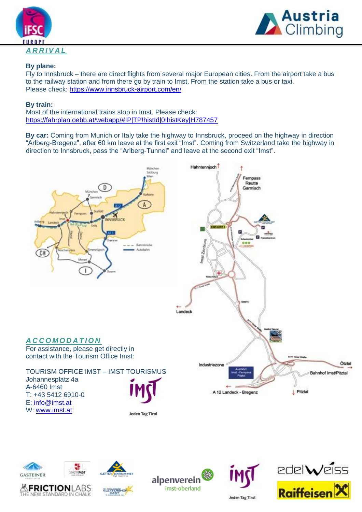



## **By plane:**

Fly to Innsbruck – there are direct flights from several major European cities. From the airport take a bus to the railway station and from there go by train to Imst. From the station take a bus or taxi. Please check:<https://www.innsbruck-airport.com/en/>

### **By train:**

Most of the international trains stop in Imst. Please check: <https://fahrplan.oebb.at/webapp/#!P|TP!histId|0!histKey|H787457>

**By car:** Coming from Munich or Italy take the highway to Innsbruck, proceed on the highway in direction "Arlberg-Bregenz", after 60 km leave at the first exit "Imst". Coming from Switzerland take the highway in direction to Innsbruck, pass the "Arlberg-Tunnel" and leave at the second exit "Imst".











alpenverein imst-oberland



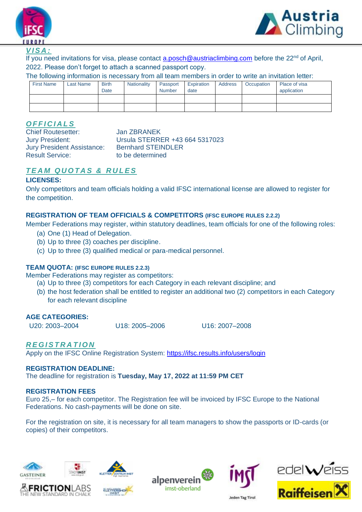



#### *V I S A :*

If you need invitations for visa, please contact [a.posch@austriaclimbing.com](mailto:a.posch@austriaclimbing.com) before the 22<sup>nd</sup> of April, 2022. Please don't forget to attach a scanned passport copy.

The following information is necessary from all team members in order to write an invitation letter:

| <b>First Name</b> | Last Name | <b>Birth</b><br>Date | Nationality | Passport<br>Number | Expiration<br>date | <b>Address</b> | Occupation | Place of visa<br>application |
|-------------------|-----------|----------------------|-------------|--------------------|--------------------|----------------|------------|------------------------------|
|                   |           |                      |             |                    |                    |                |            |                              |
|                   |           |                      |             |                    |                    |                |            |                              |

## *O F F I C I A L S*

Chief Routesetter: Jan ZBRANEK Jury President Assistance: Bernhard STEINDLER Result Service: to be determined

Jury President: Ursula STERRER +43 664 5317023

# *T E A M Q U O T A S & R U L E S*

#### **LICENSES:**

Only competitors and team officials holding a valid IFSC international license are allowed to register for the competition.

#### **REGISTRATION OF TEAM OFFICIALS & COMPETITORS (IFSC EUROPE RULES 2.2.2)**

Member Federations may register, within statutory deadlines, team officials for one of the following roles:

- (a) One (1) Head of Delegation.
- (b) Up to three (3) coaches per discipline.
- (c) Up to three (3) qualified medical or para-medical personnel.

#### **TEAM QUOTA: (IFSC EUROPE RULES 2.2.3)**

Member Federations may register as competitors:

- (a) Up to three (3) competitors for each Category in each relevant discipline; and
- (b) the host federation shall be entitled to register an additional two (2) competitors in each Category for each relevant discipline

#### **AGE CATEGORIES:**

U20: 2003–2004 U18: 2005–2006 U16: 2007–2008

## *R E G I S T R A T I O N*

Apply on the IFSC Online Registration System:<https://ifsc.results.info/users/login>

#### **REGISTRATION DEADLINE:**

The deadline for registration is **Tuesday, May 17, 2022 at 11:59 PM CET**

#### **REGISTRATION FEES**

Euro 25,– for each competitor. The Registration fee will be invoiced by IFSC Europe to the National Federations. No cash-payments will be done on site.

For the registration on site, it is necessary for all team managers to show the passports or ID-cards (or copies) of their competitors.













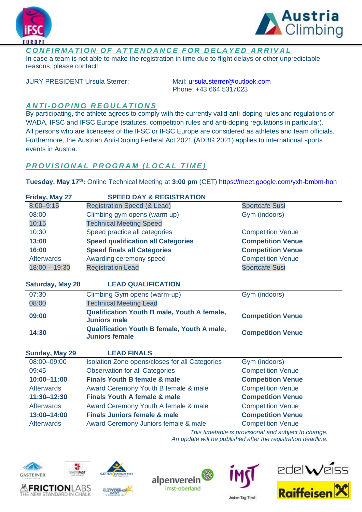



## **CONFIRMATION OF ATTENDANCE FOR DELAYED ARRIVAL**

In case a team is not able to make the registration in time due to flight delays or other unpredictable reasons, please contact:

JURY PRESIDENT Ursula Sterrer: Mail: [ursula.sterrer@outlook.com](mailto:ursula.sterrer@outlook.com)

Phone: +43 664 5317023

# *A N T I- D O P I N G R E G U L A T I O N S*

By participating, the athlete agrees to comply with the currently valid anti-doping rules and regulations of WADA, IFSC and IFSC Europe (statutes, competition rules and anti-doping regulations in particular). All persons who are licensees of the IFSC or IFSC Europe are considered as athletes and team officials. Furthermore, the Austrian Anti-Doping Federal Act 2021 (ADBG 2021) applies to international sports events in Austria.

## **PROVISIONAL PROGRAM (LOCAL TIME)**

**Tuesday, May 17th:** Online Technical Meeting at **3:00 pm** (CET[\) https://meet.google.com/yxh-bmbm-hon](https://meet.google.com/yxh-bmbm-hon)

| Friday, May 27          | <b>SPEED DAY &amp; REGISTRATION</b>                                         |                                                     |  |  |  |
|-------------------------|-----------------------------------------------------------------------------|-----------------------------------------------------|--|--|--|
| $8:00 - 9:15$           | <b>Registration Speed (&amp; Lead)</b>                                      | <b>Sportcafe Susi</b>                               |  |  |  |
| 08:00                   | Climbing gym opens (warm up)                                                | Gym (indoors)                                       |  |  |  |
| 10:15                   | <b>Technical Meeting Speed</b>                                              |                                                     |  |  |  |
| 10:30                   | Speed practice all categories                                               | <b>Competition Venue</b>                            |  |  |  |
| 13:00                   | <b>Speed qualification all Categories</b>                                   | <b>Competition Venue</b>                            |  |  |  |
| 16:00                   | <b>Speed finals all Categories</b>                                          | <b>Competition Venue</b>                            |  |  |  |
| <b>Afterwards</b>       | Awarding ceremony speed                                                     | <b>Competition Venue</b>                            |  |  |  |
| $18:00 - 19:30$         | <b>Registration Lead</b>                                                    | <b>Sportcafe Susi</b>                               |  |  |  |
| <b>Saturday, May 28</b> | <b>LEAD QUALIFICATION</b>                                                   |                                                     |  |  |  |
| 07:30                   | Climbing Gym opens (warm-up)                                                | Gym (indoors)                                       |  |  |  |
| 08:00                   | <b>Technical Meeting Lead</b>                                               |                                                     |  |  |  |
| 09:00                   | <b>Qualification Youth B male, Youth A female,</b><br><b>Juniors male</b>   | <b>Competition Venue</b>                            |  |  |  |
| 14:30                   | <b>Qualification Youth B female, Youth A male,</b><br><b>Juniors female</b> | <b>Competition Venue</b>                            |  |  |  |
| <b>Sunday, May 29</b>   | <b>LEAD FINALS</b>                                                          |                                                     |  |  |  |
| 08:00-09:00             | Isolation Zone opens/closes for all Categories                              | Gym (indoors)                                       |  |  |  |
| 09:45                   | <b>Observation for all Categories</b>                                       | <b>Competition Venue</b>                            |  |  |  |
| 10:00-11:00             | <b>Finals Youth B female &amp; male</b>                                     | <b>Competition Venue</b>                            |  |  |  |
| <b>Afterwards</b>       | Award Ceremony Youth B female & male                                        | <b>Competition Venue</b>                            |  |  |  |
| 11:30-12:30             | <b>Finals Youth A female &amp; male</b>                                     | <b>Competition Venue</b>                            |  |  |  |
| <b>Afterwards</b>       | Award Ceremony Youth A female & male                                        | <b>Competition Venue</b>                            |  |  |  |
| 13:00-14:00             | <b>Finals Juniors female &amp; male</b>                                     | <b>Competition Venue</b>                            |  |  |  |
| <b>Afterwards</b>       | Award Ceremony Juniors female & male                                        | <b>Competition Venue</b>                            |  |  |  |
|                         |                                                                             | This timetable is provisional and subject to change |  |  |  |

*This timetable is provisional and subject to change. An update will be published after the registration deadline.*













**Jeden Tag Tirol**